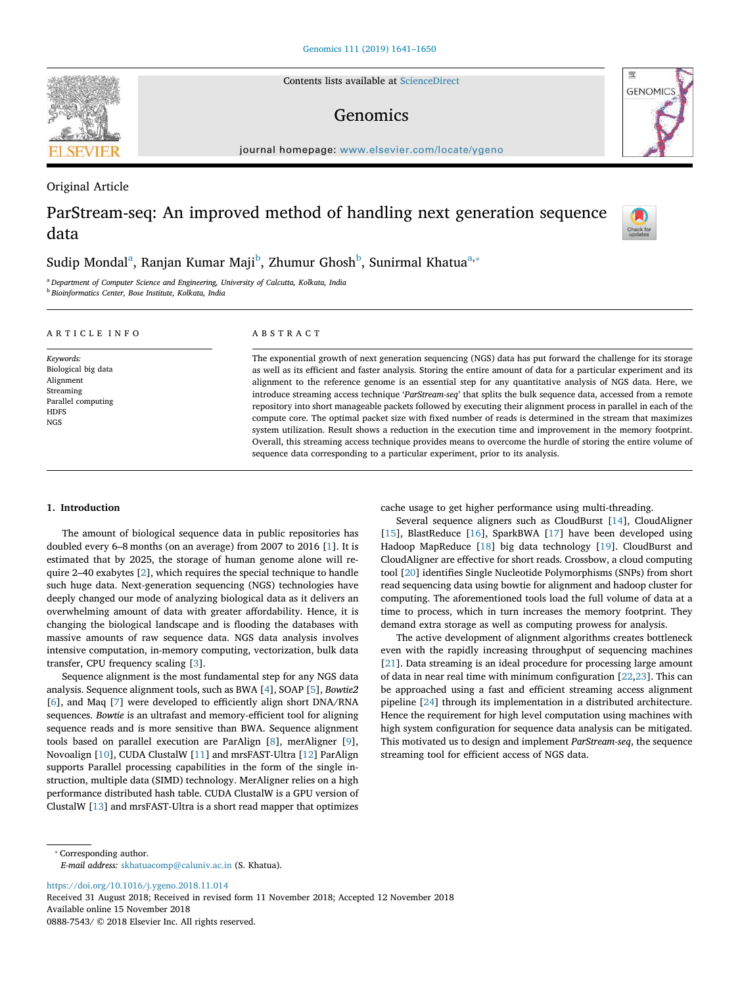Contents lists available at ScienceDirect

# Genomics

journal homepage: www.elsevier.com/locate/ygeno

## Original Article

# ParStream-seq: An improved method of handling next generation sequence data

# Sudip Mondal $^{\rm a}$ , Ranjan Kumar Maji $^{\rm b}$ , Zhumur Ghosh $^{\rm b}$ , Sunirmal Khatua $^{\rm a,*}$

<sup>a</sup> *Department of Computer Science and Engineering, University of Calcutta, Kolkata, India* b *Bioinformatics Center, Bose Institute, Kolkata, India*

| ARTICLE INFO                                          | ABSTRACT                                                                                                                                                                                                                                                                                                                                                                                                                                                                                                                                                                                                                                                               |
|-------------------------------------------------------|------------------------------------------------------------------------------------------------------------------------------------------------------------------------------------------------------------------------------------------------------------------------------------------------------------------------------------------------------------------------------------------------------------------------------------------------------------------------------------------------------------------------------------------------------------------------------------------------------------------------------------------------------------------------|
| Keywords:                                             | The exponential growth of next generation sequencing (NGS) data has put forward the challenge for its storage                                                                                                                                                                                                                                                                                                                                                                                                                                                                                                                                                          |
| Biological big data                                   | as well as its efficient and faster analysis. Storing the entire amount of data for a particular experiment and its                                                                                                                                                                                                                                                                                                                                                                                                                                                                                                                                                    |
| Alignment                                             | alignment to the reference genome is an essential step for any quantitative analysis of NGS data. Here, we                                                                                                                                                                                                                                                                                                                                                                                                                                                                                                                                                             |
| Streaming<br>Parallel computing<br><b>HDFS</b><br>NGS | introduce streaming access technique 'ParStream-seq' that splits the bulk sequence data, accessed from a remote<br>repository into short manageable packets followed by executing their alignment process in parallel in each of the<br>compute core. The optimal packet size with fixed number of reads is determined in the stream that maximizes<br>system utilization. Result shows a reduction in the execution time and improvement in the memory footprint.<br>Overall, this streaming access technique provides means to overcome the hurdle of storing the entire volume of<br>sequence data corresponding to a particular experiment, prior to its analysis. |

## 1. Introduction

The amount of biological sequence data in public repositories has doubled every 6–8 months (on an average) from 2007 to 2016 [1]. It is estimated that by 2025, the storage of human genome alone will require 2–40 exabytes [2], which requires the special technique to handle such huge data. Next-generation sequencing (NGS) technologies have deeply changed our mode of analyzing biological data as it delivers an overwhelming amount of data with greater affordability. Hence, it is changing the biological landscape and is flooding the databases with massive amounts of raw sequence data. NGS data analysis involves intensive computation, in-memory computing, vectorization, bulk data transfer, CPU frequency scaling [3].

Sequence alignment is the most fundamental step for any NGS data analysis. Sequence alignment tools, such as BWA [4], SOAP [5], *Bowtie2* [6], and Maq [7] were developed to efficiently align short DNA/RNA sequences. *Bowtie* is an ultrafast and memory-efficient tool for aligning sequence reads and is more sensitive than BWA. Sequence alignment tools based on parallel execution are ParAlign [8], merAligner [9], Novoalign [10], CUDA ClustalW [11] and mrsFAST-Ultra [12] ParAlign supports Parallel processing capabilities in the form of the single instruction, multiple data (SIMD) technology. MerAligner relies on a high performance distributed hash table. CUDA ClustalW is a GPU version of ClustalW [13] and mrsFAST-Ultra is a short read mapper that optimizes

cache usage to get higher performance using multi-threading.

Several sequence aligners such as CloudBurst [14], CloudAligner [15], BlastReduce [16], SparkBWA [17] have been developed using Hadoop MapReduce [18] big data technology [19]. CloudBurst and CloudAligner are effective for short reads. Crossbow, a cloud computing tool [20] identifies Single Nucleotide Polymorphisms (SNPs) from short read sequencing data using bowtie for alignment and hadoop cluster for computing. The aforementioned tools load the full volume of data at a time to process, which in turn increases the memory footprint. They demand extra storage as well as computing prowess for analysis.

The active development of alignment algorithms creates bottleneck even with the rapidly increasing throughput of sequencing machines [21]. Data streaming is an ideal procedure for processing large amount of data in near real time with minimum configuration [22,23]. This can be approached using a fast and efficient streaming access alignment pipeline [24] through its implementation in a distributed architecture. Hence the requirement for high level computation using machines with high system configuration for sequence data analysis can be mitigated. This motivated us to design and implement *ParStream-seq*, the sequence streaming tool for efficient access of NGS data.

https://doi.org/10.1016/j.ygeno.2018.11.014

Received 31 August 2018; Received in revised form 11 November 2018; Accepted 12 November 2018 Available online 15 November 2018

0888-7543/ © 2018 Elsevier Inc. All rights reserved.





 $\frac{N}{2}$ 

<sup>⁎</sup> Corresponding author. *E-mail address:* skhatuacomp@caluniv.ac.in (S. Khatua).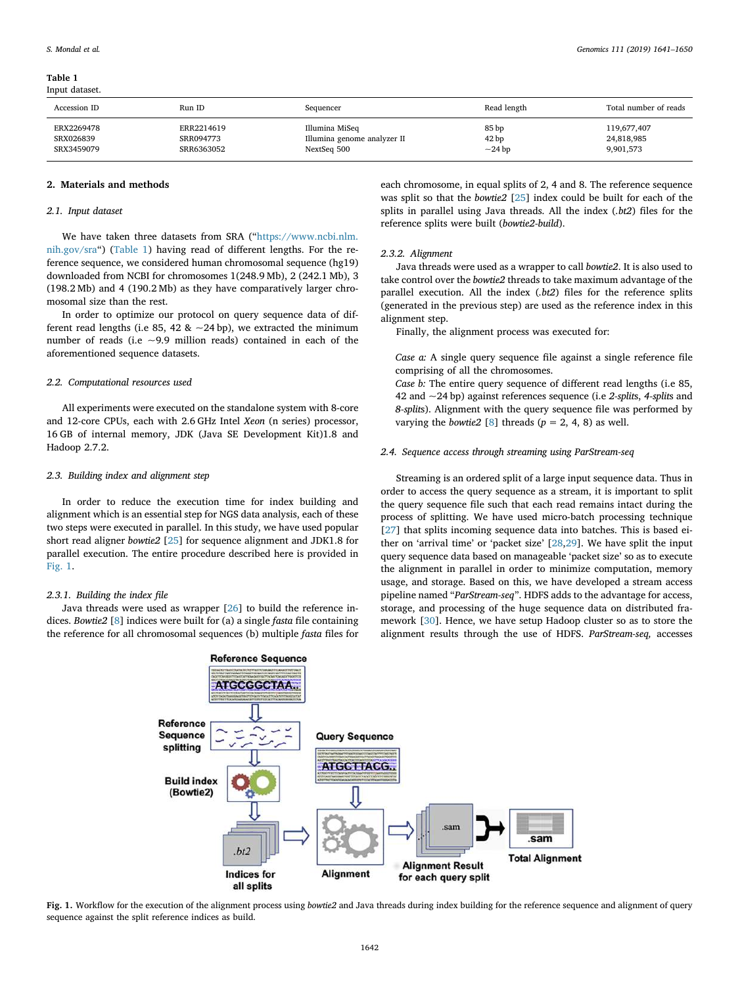Table 1 Input dataset.

| Accession ID | Run ID     | Sequencer                   | Read length      | Total number of reads |
|--------------|------------|-----------------------------|------------------|-----------------------|
| ERX2269478   | ERR2214619 | Illumina MiSeq              | 85 bp            | 119,677,407           |
|              |            |                             |                  |                       |
| SRX026839    | SRR094773  | Illumina genome analyzer II | 42 <sub>bp</sub> | 24,818,985            |
| SRX3459079   | SRR6363052 | NextSeq 500                 | $\sim$ 24 bp     | 9,901,573             |
|              |            |                             |                  |                       |

#### 2. Materials and methods

## *2.1. Input dataset*

We have taken three datasets from SRA ("https://www.ncbi.nlm. nih.gov/sra") (Table 1) having read of different lengths. For the reference sequence, we considered human chromosomal sequence (hg19) downloaded from NCBI for chromosomes 1(248.9 Mb), 2 (242.1 Mb), 3 (198.2 Mb) and 4 (190.2 Mb) as they have comparatively larger chromosomal size than the rest.

In order to optimize our protocol on query sequence data of different read lengths (i.e 85, 42 &  $\sim$  24 bp), we extracted the minimum number of reads (i.e ~9.9 million reads) contained in each of the aforementioned sequence datasets.

#### *2.2. Computational resources used*

All experiments were executed on the standalone system with 8-core and 12-core CPUs, each with 2.6 GHz Intel *Xeon* (n series) processor, 16 GB of internal memory, JDK (Java SE Development Kit)1.8 and Hadoop 2.7.2.

### *2.3. Building index and alignment step*

In order to reduce the execution time for index building and alignment which is an essential step for NGS data analysis, each of these two steps were executed in parallel. In this study, we have used popular short read aligner *bowtie2* [25] for sequence alignment and JDK1.8 for parallel execution. The entire procedure described here is provided in Fig. 1.

## *2.3.1. Building the index* fi*le*

Java threads were used as wrapper [26] to build the reference indices. *Bowtie2* [8] indices were built for (a) a single *fasta* file containing the reference for all chromosomal sequences (b) multiple *fasta* files for

each chromosome, in equal splits of 2, 4 and 8. The reference sequence was split so that the *bowtie2* [25] index could be built for each of the splits in parallel using Java threads. All the index (*.bt2*) files for the reference splits were built (*bowtie2-build*).

### *2.3.2. Alignment*

Java threads were used as a wrapper to call *bowtie2*. It is also used to take control over the *bowtie2* threads to take maximum advantage of the parallel execution. All the index (*.bt2*) files for the reference splits (generated in the previous step) are used as the reference index in this alignment step.

Finally, the alignment process was executed for:

*Case a:* A single query sequence file against a single reference file comprising of all the chromosomes.

*Case b:* The entire query sequence of different read lengths (i.e 85, 42 and ~24 bp) against references sequence (i.e *2-split*s, *4-split*s and *8-split*s). Alignment with the query sequence file was performed by varying the *bowtie2* [8] threads  $(p = 2, 4, 8)$  as well.

#### *2.4. Sequence access through streaming using ParStream-seq*

Streaming is an ordered split of a large input sequence data. Thus in order to access the query sequence as a stream, it is important to split the query sequence file such that each read remains intact during the process of splitting. We have used micro-batch processing technique [27] that splits incoming sequence data into batches. This is based either on 'arrival time' or 'packet size' [28,29]. We have split the input query sequence data based on manageable 'packet size' so as to execute the alignment in parallel in order to minimize computation, memory usage, and storage. Based on this, we have developed a stream access pipeline named "*ParStream-seq*". HDFS adds to the advantage for access, storage, and processing of the huge sequence data on distributed framework [30]. Hence, we have setup Hadoop cluster so as to store the alignment results through the use of HDFS. *ParStream-seq,* accesses



Fig. 1. Workflow for the execution of the alignment process using *bowtie2* and Java threads during index building for the reference sequence and alignment of query sequence against the split reference indices as build.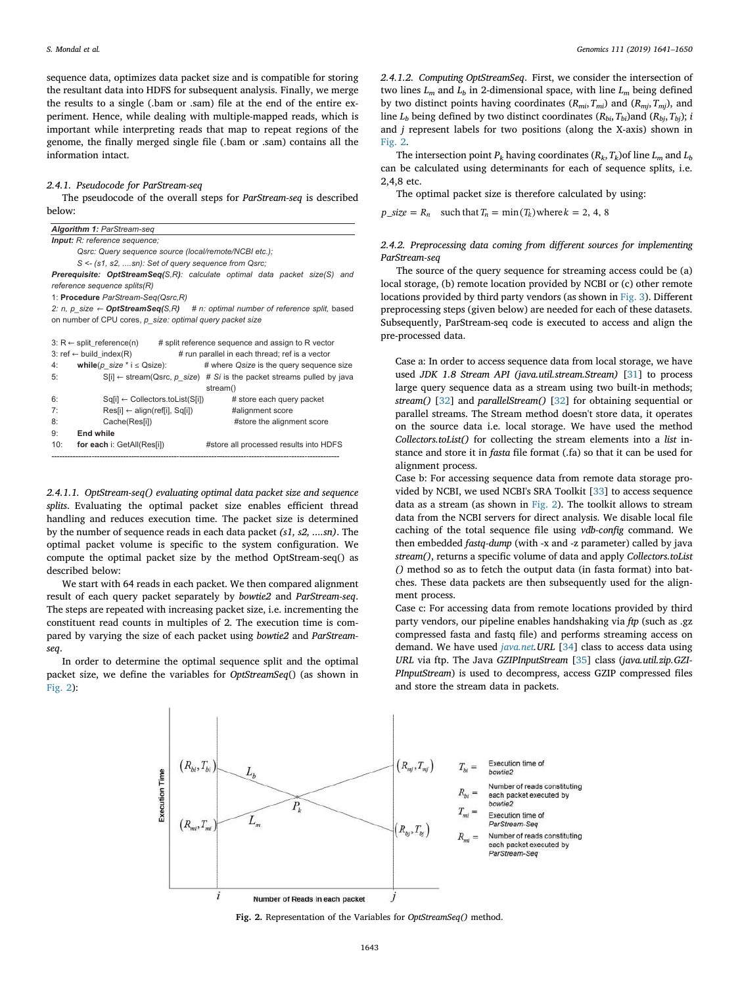sequence data, optimizes data packet size and is compatible for storing the resultant data into HDFS for subsequent analysis. Finally, we merge the results to a single (.bam or .sam) file at the end of the entire experiment. Hence, while dealing with multiple-mapped reads, which is important while interpreting reads that map to repeat regions of the genome, the finally merged single file (.bam or .sam) contains all the information intact.

#### *2.4.1. Pseudocode for ParStream-seq*

The pseudocode of the overall steps for *ParStream-seq* is described below:

| Algorithm 1: ParStream-seq                                                                |                                                                                  |
|-------------------------------------------------------------------------------------------|----------------------------------------------------------------------------------|
| <b>Input:</b> R: reference sequence;                                                      |                                                                                  |
| Qsrc: Query sequence source (local/remote/NCBI etc.);                                     |                                                                                  |
| S <- (s1, s2, sn): Set of query sequence from Qsrc;                                       |                                                                                  |
| <b>Prerequisite: OptStreamSeq(S,R):</b> calculate optimal data packet size(S) and         |                                                                                  |
| reference sequence splits(R)                                                              |                                                                                  |
| 1: Procedure ParStream-Seq(Qsrc,R)                                                        |                                                                                  |
| 2: n, p size $\leftarrow$ OptStreamSeq(S,R) # n: optimal number of reference split, based |                                                                                  |
| on number of CPU cores, p size: optimal query packet size                                 |                                                                                  |
|                                                                                           |                                                                                  |
| 3: $R \leftarrow$ split_reference(n) # split reference sequence and assign to R vector    |                                                                                  |
| 3: ref ← build_index(R)                                                                   | # run parallel in each thread; ref is a vector                                   |
| while(p size $*$ i $\leq$ Qsize):<br>4:                                                   | # where Qsize is the query sequence size                                         |
| 5:                                                                                        | $S[i] \leftarrow$ stream(Qsrc, p size) # Si is the packet streams pulled by java |
|                                                                                           | stream()                                                                         |
| 6:<br>$\mathsf{Sq}[i] \leftarrow$ Collectors.toList( $\mathsf{Sq}[i]$ )                   | # store each query packet                                                        |
| 7:<br>$Res[i] \leftarrow align(reff[i], Sq[i])$                                           | #alignment score                                                                 |
| 8:<br>Cache(Res[i])                                                                       | #store the alignment score                                                       |
| 9:<br><b>End while</b>                                                                    |                                                                                  |
| 10:<br>for each i: GetAll(Res[i])                                                         | #store all processed results into HDFS                                           |
|                                                                                           |                                                                                  |

*2.4.1.1. OptStream-seq() evaluating optimal data packet size and sequence splits*. Evaluating the optimal packet size enables efficient thread handling and reduces execution time. The packet size is determined by the number of sequence reads in each data packet *(s1, s2, ....sn)*. The optimal packet volume is specific to the system configuration. We compute the optimal packet size by the method OptStream-seq() as described below:

We start with 64 reads in each packet. We then compared alignment result of each query packet separately by *bowtie2* and *ParStream-seq*. The steps are repeated with increasing packet size, i.e. incrementing the constituent read counts in multiples of 2. The execution time is compared by varying the size of each packet using *bowtie2* and *ParStreamseq*.

In order to determine the optimal sequence split and the optimal packet size, we define the variables for *OptStreamSeq*() (as shown in Fig. 2):

*2.4.1.2. Computing OptStreamSeq*. First, we consider the intersection of two lines  $L_m$  and  $L_b$  in 2-dimensional space, with line  $L_m$  being defined by two distinct points having coordinates (*Rmi*,*Tmi*) and (*Rmj*,*Tmj*), and line  $L_b$  being defined by two distinct coordinates  $(R_{bi}, T_{bi})$  and  $(R_{bi}, T_{bi})$ ; *i* and *j* represent labels for two positions (along the X-axis) shown in Fig. 2.

The intersection point  $P_k$  having coordinates  $(R_k, T_k)$ of line  $L_m$  and  $L_b$ can be calculated using determinants for each of sequence splits, i.e. 2,4,8 etc.

The optimal packet size is therefore calculated by using:

 $p\_size = R_n$  such that  $T_n = \min(T_k)$  where  $k = 2, 4, 8$ 

## *2.4.2. Preprocessing data coming from di*ff*erent sources for implementing ParStream-seq*

The source of the query sequence for streaming access could be (a) local storage, (b) remote location provided by NCBI or (c) other remote locations provided by third party vendors (as shown in Fig. 3). Different preprocessing steps (given below) are needed for each of these datasets. Subsequently, ParStream-seq code is executed to access and align the pre-processed data.

Case a: In order to access sequence data from local storage, we have used *JDK 1.8 Stream API (java.util.stream.Stream)* [31] to process large query sequence data as a stream using two built-in methods; *stream()* [32] and *parallelStream()* [32] for obtaining sequential or parallel streams. The Stream method doesn't store data, it operates on the source data i.e. local storage. We have used the method *Collectors.toList()* for collecting the stream elements into a *list* instance and store it in *fasta* file format (.fa) so that it can be used for alignment process.

Case b: For accessing sequence data from remote data storage provided by NCBI, we used NCBI's SRA Toolkit [33] to access sequence data as a stream (as shown in Fig. 2). The toolkit allows to stream data from the NCBI servers for direct analysis. We disable local file caching of the total sequence file using *vdb-con*fi*g* command. We then embedded *fastq-dump* (with -x and -z parameter) called by java *stream()*, returns a specific volume of data and apply *Collectors.toList ()* method so as to fetch the output data (in fasta format) into batches. These data packets are then subsequently used for the alignment process.

Case c: For accessing data from remote locations provided by third party vendors, our pipeline enables handshaking via *ftp* (such as .gz compressed fasta and fastq file) and performs streaming access on demand. We have used *java.net.URL* [34] class to access data using *URL* via ftp. The Java *GZIPInputStream* [35] class (*java.util.zip.GZI-PInputStream*) is used to decompress, access GZIP compressed files and store the stream data in packets.



Fig. 2. Representation of the Variables for *OptStreamSeq()* method.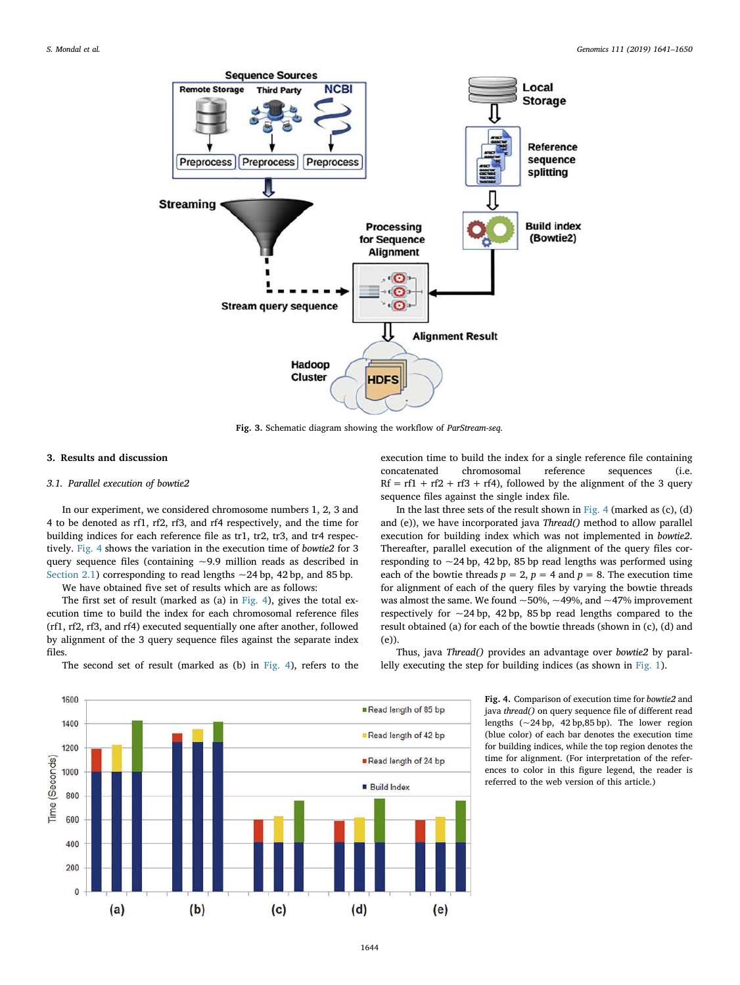

Fig. 3. Schematic diagram showing the workflow of *ParStream-seq.*

### 3. Results and discussion

#### *3.1. Parallel execution of bowtie2*

In our experiment, we considered chromosome numbers 1, 2, 3 and 4 to be denoted as rf1, rf2, rf3, and rf4 respectively, and the time for building indices for each reference file as tr1, tr2, tr3, and tr4 respectively. Fig. 4 shows the variation in the execution time of *bowtie2* for 3 query sequence files (containing  $\sim$ 9.9 million reads as described in Section 2.1) corresponding to read lengths  $\sim$  24 bp, 42 bp, and 85 bp.

We have obtained five set of results which are as follows:

The first set of result (marked as (a) in Fig. 4), gives the total execution time to build the index for each chromosomal reference files (rf1, rf2, rf3, and rf4) executed sequentially one after another, followed by alignment of the 3 query sequence files against the separate index files.

The second set of result (marked as (b) in Fig. 4), refers to the

execution time to build the index for a single reference file containing concatenated chromosomal reference sequences (i.e.  $Rf = rf1 + rf2 + rf3 + rf4$ , followed by the alignment of the 3 query sequence files against the single index file.

In the last three sets of the result shown in Fig. 4 (marked as  $(c)$ ,  $(d)$ and (e)), we have incorporated java *Thread()* method to allow parallel execution for building index which was not implemented in *bowtie2*. Thereafter, parallel execution of the alignment of the query files corresponding to  $\sim$  24 bp, 42 bp, 85 bp read lengths was performed using each of the bowtie threads  $p = 2$ ,  $p = 4$  and  $p = 8$ . The execution time for alignment of each of the query files by varying the bowtie threads was almost the same. We found  $~50\%$ ,  $~49\%$ , and  $~47\%$  improvement respectively for  $\sim$  24 bp, 42 bp, 85 bp read lengths compared to the result obtained (a) for each of the bowtie threads (shown in (c), (d) and (e)).

Thus, java *Thread()* provides an advantage over *bowtie2* by parallelly executing the step for building indices (as shown in Fig. 1).

> Fig. 4. Comparison of execution time for *bowtie2* and java *thread()* on query sequence file of different read lengths  $(-24 bp, 42 bp, 85 bp)$ . The lower region (blue color) of each bar denotes the execution time for building indices, while the top region denotes the time for alignment. (For interpretation of the references to color in this figure legend, the reader is referred to the web version of this article.)



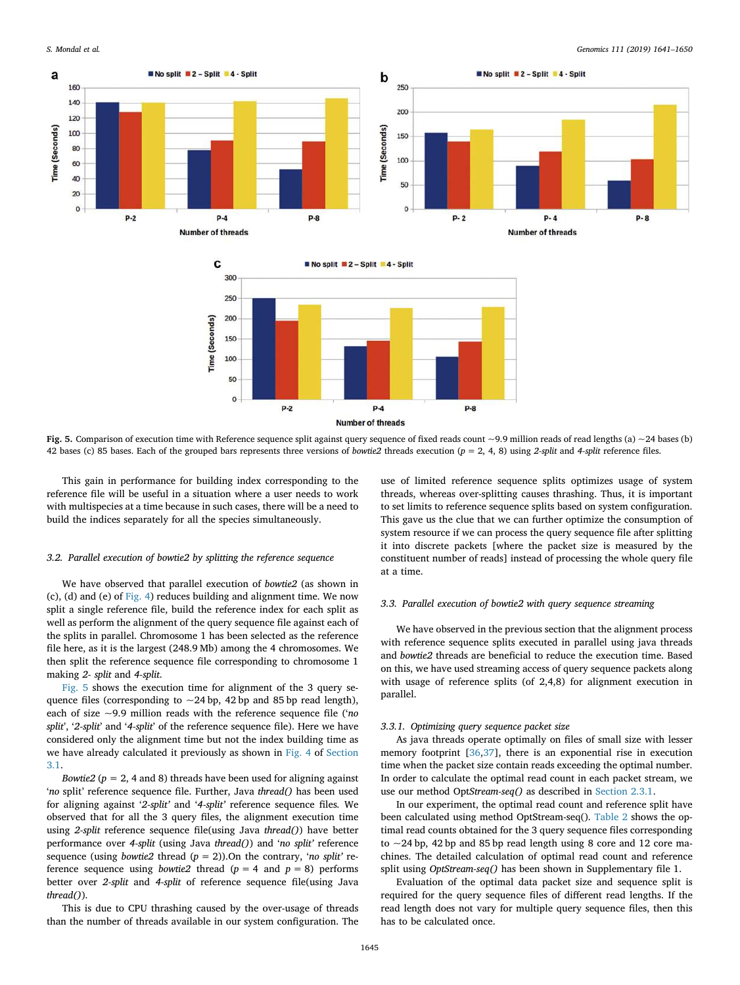

Fig. 5. Comparison of execution time with Reference sequence split against query sequence of fixed reads count  $\sim$ 9.9 million reads of read lengths (a)  $\sim$ 24 bases (b) 42 bases (c) 85 bases. Each of the grouped bars represents three versions of *bowtie2* threads execution (*p* = 2, 4, 8) using *2-split* and *4-split* reference files.

This gain in performance for building index corresponding to the reference file will be useful in a situation where a user needs to work with multispecies at a time because in such cases, there will be a need to build the indices separately for all the species simultaneously.

#### *3.2. Parallel execution of bowtie2 by splitting the reference sequence*

We have observed that parallel execution of *bowtie2* (as shown in (c), (d) and (e) of Fig. 4) reduces building and alignment time. We now split a single reference file, build the reference index for each split as well as perform the alignment of the query sequence file against each of the splits in parallel. Chromosome 1 has been selected as the reference file here, as it is the largest (248.9 Mb) among the 4 chromosomes. We then split the reference sequence file corresponding to chromosome 1 making *2- split* and *4-split*.

Fig. 5 shows the execution time for alignment of the 3 query sequence files (corresponding to  $\sim$  24 bp, 42 bp and 85 bp read length), each of size ~9.9 million reads with the reference sequence file ('*no split*', '*2-split*' and '*4-split*' of the reference sequence file). Here we have considered only the alignment time but not the index building time as we have already calculated it previously as shown in Fig. 4 of Section 3.1.

*Bowtie2* ( $p = 2$ , 4 and 8) threads have been used for aligning against '*no* split' reference sequence file. Further, Java *thread()* has been used for aligning against '*2-split*' and '*4-split*' reference sequence files*.* We observed that for all the 3 query files, the alignment execution time using *2-split* reference sequence file(using Java *thread()*) have better performance over *4-split* (using Java *thread()*) and '*no split*' reference sequence (using *bowtie2* thread (*p* = 2)).On the contrary, '*no split*' reference sequence using *bowtie2* thread  $(p = 4$  and  $p = 8)$  performs better over *2-split* and *4-split* of reference sequence file(using Java *thread()*).

This is due to CPU thrashing caused by the over-usage of threads than the number of threads available in our system configuration. The use of limited reference sequence splits optimizes usage of system threads, whereas over-splitting causes thrashing. Thus, it is important to set limits to reference sequence splits based on system configuration. This gave us the clue that we can further optimize the consumption of system resource if we can process the query sequence file after splitting it into discrete packets [where the packet size is measured by the constituent number of reads] instead of processing the whole query file at a time.

### *3.3. Parallel execution of bowtie2 with query sequence streaming*

We have observed in the previous section that the alignment process with reference sequence splits executed in parallel using java threads and *bowtie2* threads are beneficial to reduce the execution time. Based on this, we have used streaming access of query sequence packets along with usage of reference splits (of 2,4,8) for alignment execution in parallel.

#### *3.3.1. Optimizing query sequence packet size*

As java threads operate optimally on files of small size with lesser memory footprint [36,37], there is an exponential rise in execution time when the packet size contain reads exceeding the optimal number. In order to calculate the optimal read count in each packet stream, we use our method Opt*Stream-seq()* as described in Section 2.3.1.

In our experiment, the optimal read count and reference split have been calculated using method OptStream-seq(). Table 2 shows the optimal read counts obtained for the 3 query sequence files corresponding to  $\sim$  24 bp, 42 bp and 85 bp read length using 8 core and 12 core machines. The detailed calculation of optimal read count and reference split using *OptStream-seq()* has been shown in Supplementary file 1.

Evaluation of the optimal data packet size and sequence split is required for the query sequence files of different read lengths. If the read length does not vary for multiple query sequence files, then this has to be calculated once.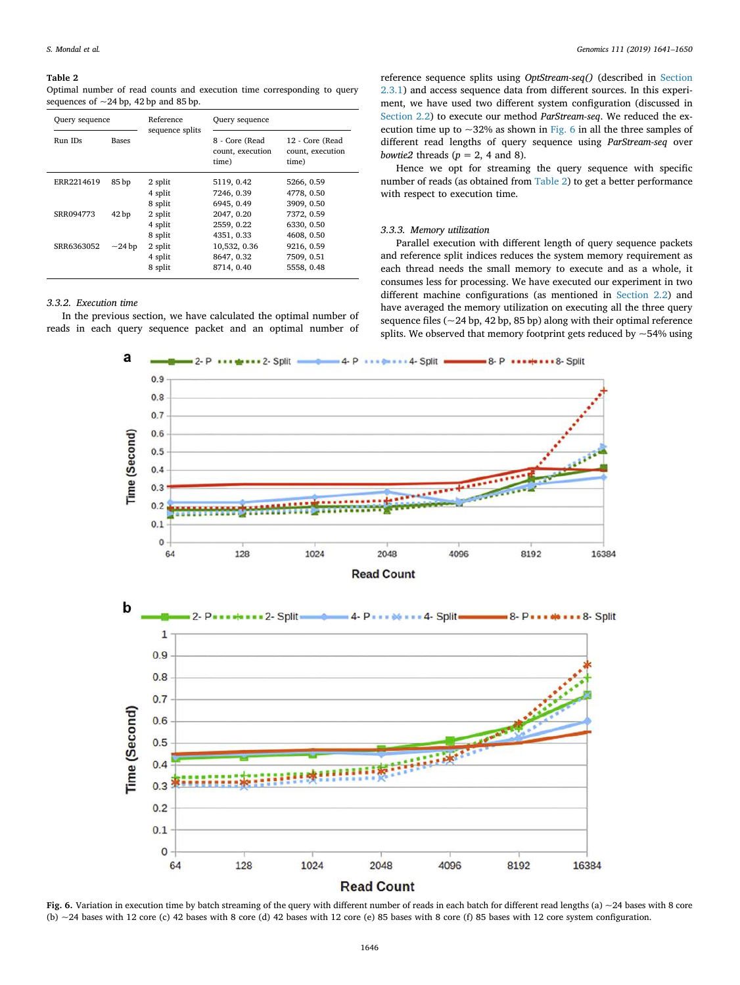#### Table 2

Optimal number of read counts and execution time corresponding to query sequences of  $\sim$  24 bp, 42 bp and 85 bp.

| Query sequence |              | Reference          | Query sequence                              |                                              |  |
|----------------|--------------|--------------------|---------------------------------------------|----------------------------------------------|--|
| Run IDs        | <b>Bases</b> | sequence splits    | 8 - Core (Read<br>count, execution<br>time) | 12 - Core (Read<br>count, execution<br>time) |  |
| ERR2214619     | 85 bp        | 2 split<br>4 split | 5119, 0.42<br>7246, 0.39                    | 5266, 0.59<br>4778, 0.50                     |  |
|                |              | 8 split            | 6945, 0.49                                  | 3909, 0.50                                   |  |
| SRR094773      | 42 bp        | 2 split            | 2047, 0.20                                  | 7372, 0.59                                   |  |
|                |              | 4 split            | 2559, 0.22                                  | 6330, 0.50                                   |  |
|                |              | 8 split            | 4351, 0.33                                  | 4608, 0.50                                   |  |
| SRR6363052     | $\sim$ 24 bp | 2 split            | 10,532, 0.36                                | 9216, 0.59                                   |  |
|                |              | 4 split            | 8647, 0.32                                  | 7509, 0.51                                   |  |
|                |              | 8 split            | 8714, 0.40                                  | 5558, 0.48                                   |  |

## *3.3.2. Execution time*

In the previous section, we have calculated the optimal number of reads in each query sequence packet and an optimal number of reference sequence splits using *OptStream-seq()* (described in Section 2.3.1) and access sequence data from different sources. In this experiment, we have used two different system configuration (discussed in Section 2.2) to execute our method *ParStream-seq*. We reduced the execution time up to  $\sim$ 32% as shown in Fig. 6 in all the three samples of different read lengths of query sequence using *ParStream-seq* over *bowtie2* threads  $(p = 2, 4, 8)$ .

Hence we opt for streaming the query sequence with specific number of reads (as obtained from Table 2) to get a better performance with respect to execution time.

#### *3.3.3. Memory utilization*

Parallel execution with different length of query sequence packets and reference split indices reduces the system memory requirement as each thread needs the small memory to execute and as a whole, it consumes less for processing. We have executed our experiment in two different machine configurations (as mentioned in Section 2.2) and have averaged the memory utilization on executing all the three query sequence files (~24 bp, 42 bp, 85 bp) along with their optimal reference splits. We observed that memory footprint gets reduced by  $\sim$  54% using



**Read Count** 



Fig. 6. Variation in execution time by batch streaming of the query with different number of reads in each batch for different read lengths (a)  $\sim$  24 bases with 8 core (b)  $\sim$  24 bases with 12 core (c) 42 bases with 8 core (d) 42 bases with 12 core (e) 85 bases with 8 core (f) 85 bases with 12 core system configuration.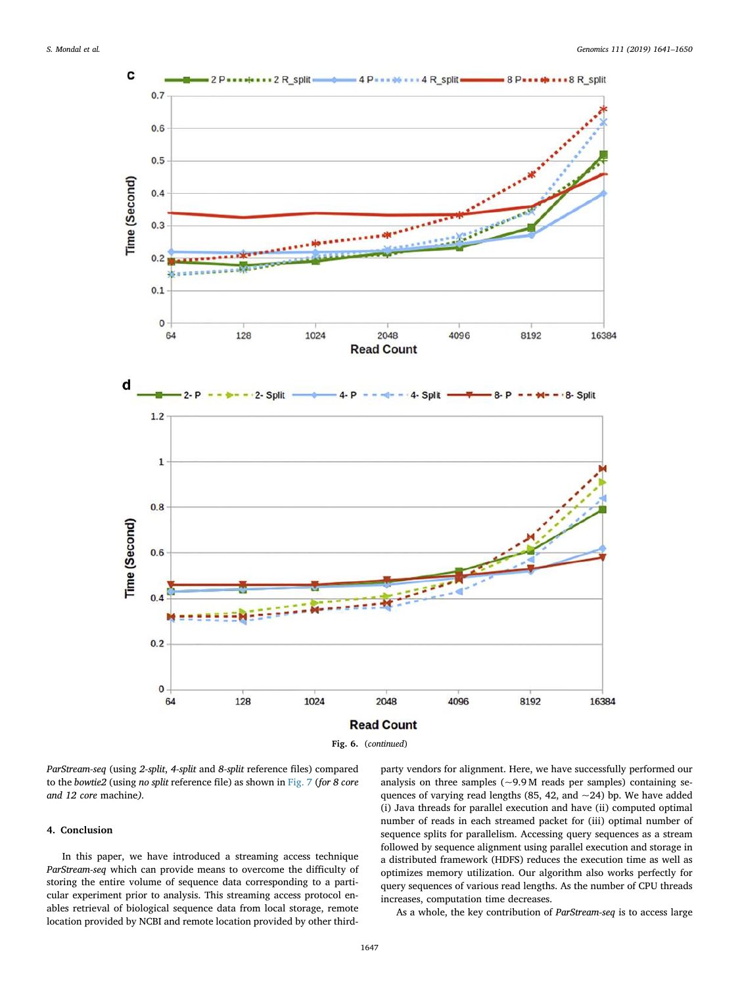

*ParStream-seq* (using *2-split*, *4-split* and *8-split* reference files) compared to the *bowtie2* (using *no split* reference file) as shown in Fig. 7 (*for 8 core and 12 core* machine*).*

### 4. Conclusion

In this paper, we have introduced a streaming access technique *ParStream-seq* which can provide means to overcome the difficulty of storing the entire volume of sequence data corresponding to a particular experiment prior to analysis. This streaming access protocol enables retrieval of biological sequence data from local storage, remote location provided by NCBI and remote location provided by other thirdparty vendors for alignment. Here, we have successfully performed our analysis on three samples  $(-9.9 \text{ M}$  reads per samples) containing sequences of varying read lengths (85, 42, and ~24) bp. We have added (i) Java threads for parallel execution and have (ii) computed optimal number of reads in each streamed packet for (iii) optimal number of sequence splits for parallelism. Accessing query sequences as a stream followed by sequence alignment using parallel execution and storage in a distributed framework (HDFS) reduces the execution time as well as optimizes memory utilization. Our algorithm also works perfectly for query sequences of various read lengths. As the number of CPU threads increases, computation time decreases.

As a whole, the key contribution of *ParStream-seq* is to access large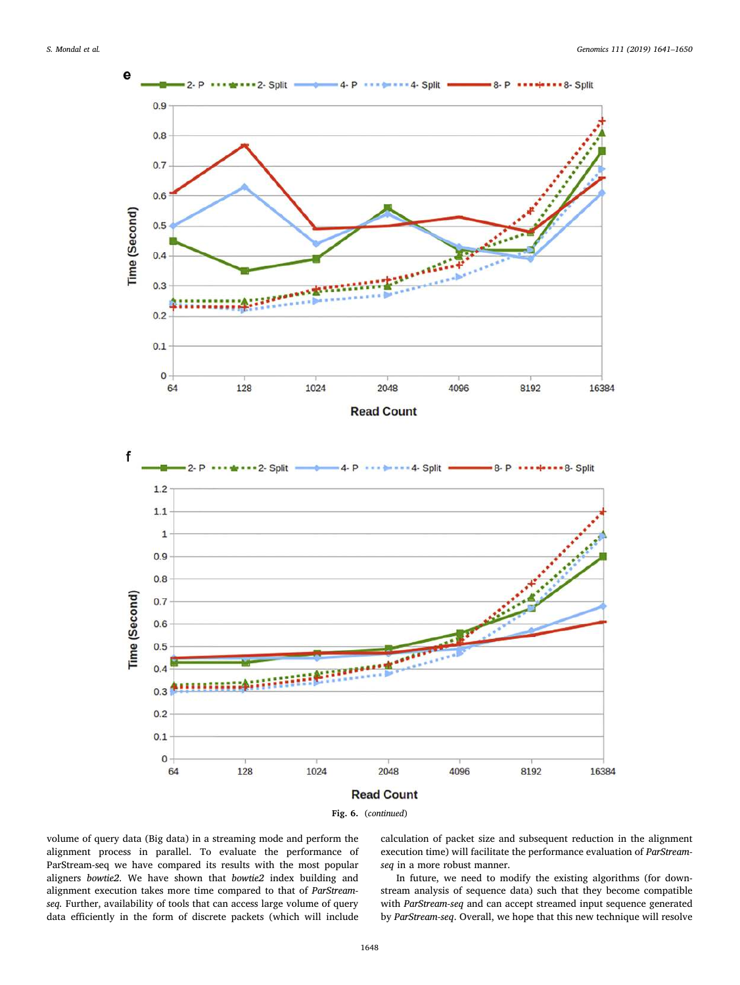



volume of query data (Big data) in a streaming mode and perform the alignment process in parallel. To evaluate the performance of ParStream-seq we have compared its results with the most popular aligners *bowtie2*. We have shown that *bowtie2* index building and alignment execution takes more time compared to that of *ParStreamseq.* Further, availability of tools that can access large volume of query data efficiently in the form of discrete packets (which will include calculation of packet size and subsequent reduction in the alignment execution time) will facilitate the performance evaluation of *ParStreamseq* in a more robust manner.

In future, we need to modify the existing algorithms (for downstream analysis of sequence data) such that they become compatible with *ParStream-seq* and can accept streamed input sequence generated by *ParStream-seq*. Overall, we hope that this new technique will resolve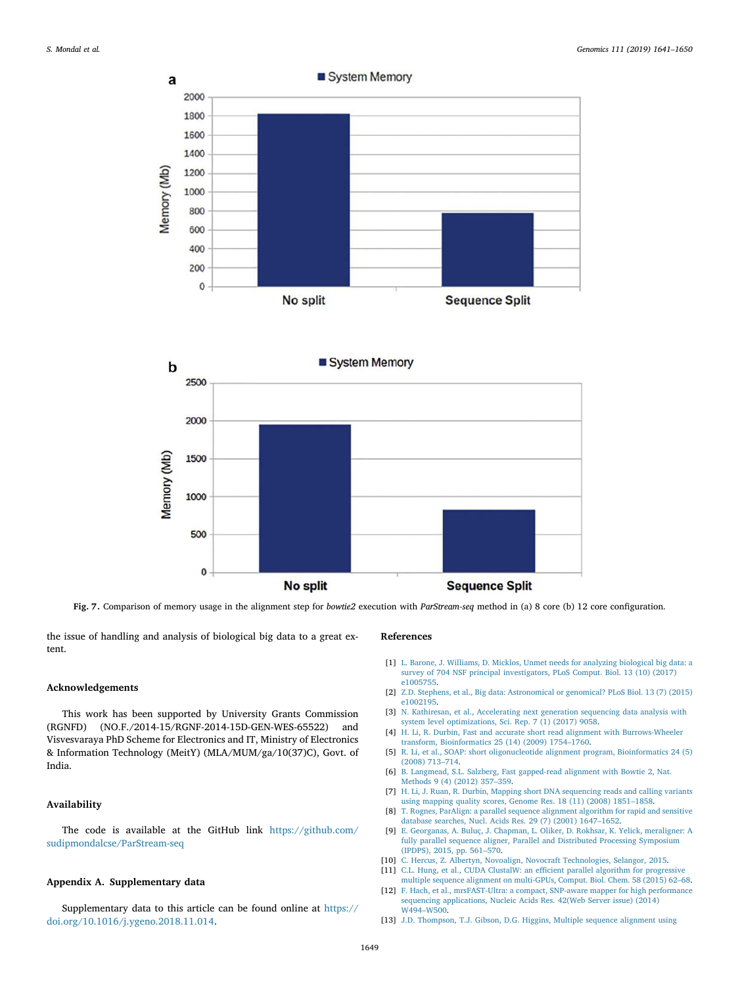



Fig. 7. Comparison of memory usage in the alignment step for *bowtie2* execution with *ParStream-seq* method in (a) 8 core (b) 12 core configuration.

the issue of handling and analysis of biological big data to a great extent.

#### Acknowledgements

This work has been supported by University Grants Commission (RGNFD) (NO.F./2014-15/RGNF-2014-15D-GEN-WES-65522) and Visvesvaraya PhD Scheme for Electronics and IT, Ministry of Electronics & Information Technology (MeitY) (MLA/MUM/ga/10(37)C), Govt. of India.

## Availability

The code is available at the GitHub link https://github.com/ sudipmondalcse/ParStream-seq

## Appendix A. Supplementary data

Supplementary data to this article can be found online at https:// doi.org/10.1016/j.ygeno.2018.11.014.

#### References

- [1] L. Barone, J. Williams, D. Micklos, Unmet needs for analyzing biological big data: a survey of 704 NSF principal investigators, PLoS Comput. Biol. 13 (10) (2017) e1005755.
- [2] Z.D. Stephens, et al., Big data: Astronomical or genomical? PLoS Biol. 13 (7) (2015) e1002195.
- [3] N. Kathiresan, et al., Accelerating next generation sequencing data analysis with system level optimizations, Sci. Rep. 7 (1) (2017) 9058.
- [4] H. Li, R. Durbin, Fast and accurate short read alignment with Burrows-Wheeler transform, Bioinformatics 25 (14) (2009) 1754–1760.
- [5] R. Li, et al., SOAP: short oligonucleotide alignment program, Bioinformatics 24 (5) (2008) 713–714.
- [6] B. Langmead, S.L. Salzberg, Fast gapped-read alignment with Bowtie 2, Nat. Methods 9 (4) (2012) 357–359.
- [7] H. Li, J. Ruan, R. Durbin, Mapping short DNA sequencing reads and calling variants using mapping quality scores, Genome Res. 18 (11) (2008) 1851–1858.
- [8] T. Rognes, ParAlign: a parallel sequence alignment algorithm for rapid and sensitive database searches, Nucl. Acids Res. 29 (7) (2001) 1647–1652.
- [9] E. Georganas, A. Buluç, J. Chapman, L. Oliker, D. Rokhsar, K. Yelick, meraligner: A fully parallel sequence aligner, Parallel and Distributed Processing Symposium (IPDPS), 2015, pp. 561–570.
- [10] C. Hercus, Z. Albertyn, Novoalign, Novocraft Technologies, Selangor, 2015.
- [11] C.L. Hung, et al., CUDA ClustalW: an efficient parallel algorithm for progressive
- multiple sequence alignment on multi-GPUs, Comput. Biol. Chem. 58 (2015) 62–68. [12] F. Hach, et al., mrsFAST-Ultra: a compact, SNP-aware mapper for high performance sequencing applications, Nucleic Acids Res. 42(Web Server issue) (2014) W494–W500.
- [13] J.D. Thompson, T.J. Gibson, D.G. Higgins, Multiple sequence alignment using